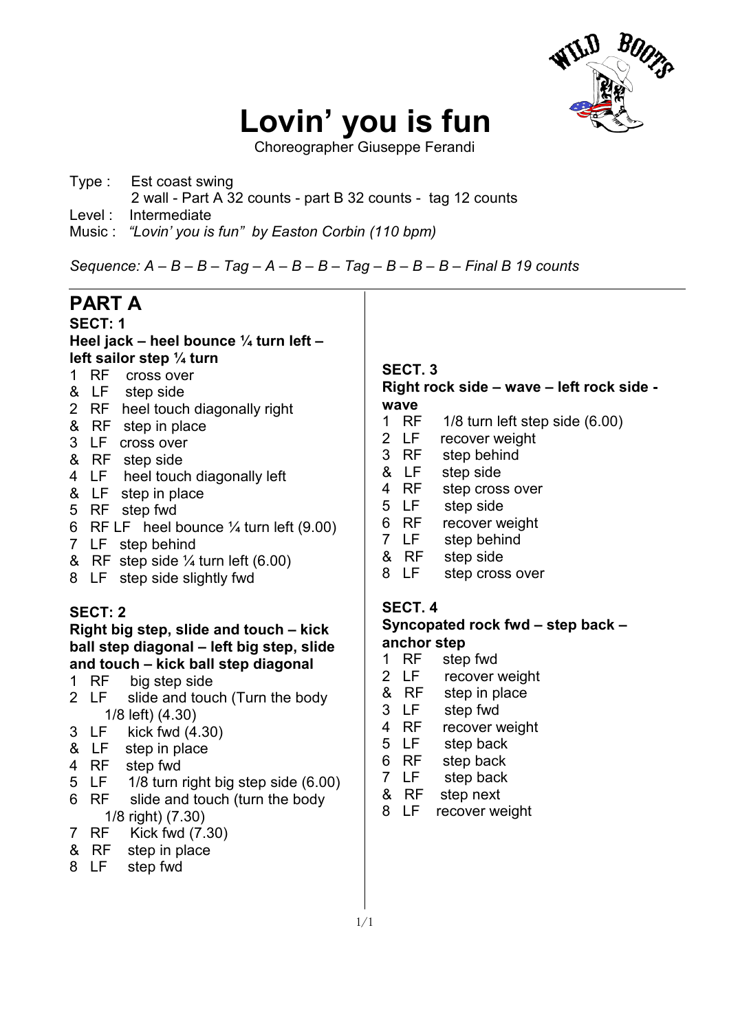

# **Lovin' you is fun**

Choreographer Giuseppe Ferandi

- Type : Est coast swing 2 wall - Part A 32 counts - part B 32 counts - tag 12 counts
- Level : Intermediate
- Music : *"Lovin' you is fun" by Easton Corbin (110 bpm)*

*Sequence: A – B – B – Tag – A – B – B – Tag – B – B – B – Final B 19 counts* 

| PART A                                             |                                           |
|----------------------------------------------------|-------------------------------------------|
| SECT: 1                                            |                                           |
| Heel jack – heel bounce ¼ turn left –              |                                           |
| left sailor step $\frac{1}{4}$ turn                | SECT. <sub>3</sub>                        |
| <b>RF</b><br>1.<br>cross over                      |                                           |
| & LF step side                                     | Right rock side – wave – left rock side - |
| 2 RF heel touch diagonally right                   | wave                                      |
| &<br>RF step in place                              | RF<br>1/8 turn left step side (6.00)<br>1 |
| 3<br>LF.<br>cross over                             | 2 LF<br>recover weight                    |
| & RF step side                                     | 3<br><b>RF</b><br>step behind             |
| LF.<br>heel touch diagonally left<br>4             | &<br>LF<br>step side                      |
| & LF step in place                                 | RF<br>4<br>step cross over                |
| 5 RF step fwd                                      | 5<br>LF .<br>step side                    |
| 6 RF LF heel bounce $\frac{1}{4}$ turn left (9.00) | RF<br>6<br>recover weight                 |
| 7 LF step behind                                   | LF<br>step behind<br>$\overline{7}$       |
| & RF step side $\frac{1}{4}$ turn left (6.00)      | & RF<br>step side                         |
| 8 LF step side slightly fwd                        | 8<br>LF.<br>step cross over               |
|                                                    | SECT. 4                                   |
| SECT: 2                                            |                                           |
| Right big step, slide and touch – kick             | Syncopated rock fwd – step back –         |
| ball step diagonal – left big step, slide          | anchor step                               |
| and touch - kick ball step diagonal                | RF<br>step fwd<br>1                       |
| 1 RF big step side                                 | 2 LF<br>recover weight                    |
| 2 LF<br>slide and touch (Turn the body             | &<br>RF<br>step in place                  |
| 1/8 left) (4.30)                                   | 3<br>LF<br>step fwd                       |
| 3 LF<br>kick fwd $(4.30)$                          | <b>RF</b><br>recover weight<br>4          |
| & LF<br>step in place                              | 5<br>LF<br>step back                      |
| step fwd<br>RF<br>4                                | 6<br>RF<br>step back                      |
| 5<br>1/8 turn right big step side (6.00)<br>LF     | $\overline{7}$<br>LF<br>step back         |

- 6 RF slide and touch (turn the body
- 1/8 right) (7.30)<br>7 RF Kick fwd (7. Kick fwd  $(7.30)$
- & RF step in place
- 8 LF step fwd

& RF step next 8 LF recover weight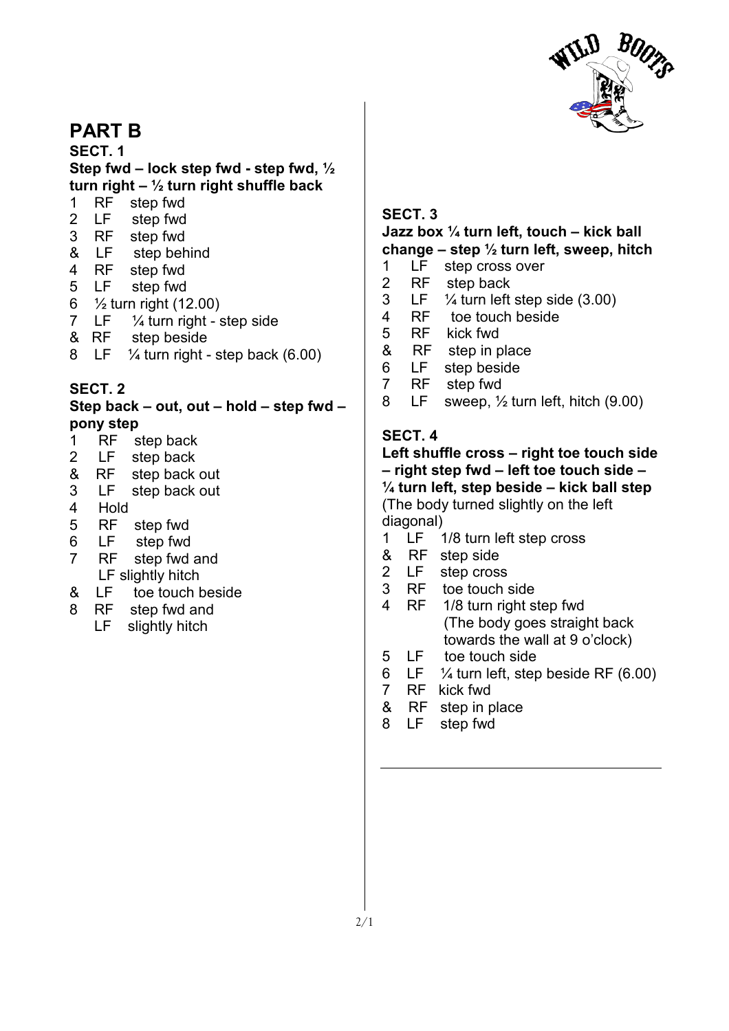

## **PART B**

**SECT. 1 Step fwd – lock step fwd - step fwd, ½ turn right – ½ turn right shuffle back** 

- 1 RF step fwd
- 2 LF step fwd
- 3 RF step fwd
- & LF step behind
- 4 RF step fwd
- 5 LF step fwd
- 6 ½ turn right (12.00)
- 7 LF  $\frac{1}{4}$  turn right step side
- & RF step beside
- 8 LF  $\frac{1}{4}$  turn right step back (6.00)

### **SECT. 2**

**Step back – out, out – hold – step fwd – pony step** 

- 1 RF step back
- 2 LF step back
- & RF step back out
- 3 LF step back out
- 4 Hold
- 5 RF step fwd
- 6 LF step fwd
- 7 RF step fwd and
- LF slightly hitch
- & LF toe touch beside
- 8 RF step fwd and
	- LF slightly hitch

### **SECT. 3**

#### **Jazz box ¼ turn left, touch – kick ball change – step ½ turn left, sweep, hitch**

- 1 LF step cross over
- 2 RF step back
- 3 LF ¼ turn left step side (3.00)
- 4 RF toe touch beside<br>5 RF kick fwd
- RF kick fwd
- & RF step in place
- 6 LF step beside<br>7 RF step fwd
- RF step fwd
- 8 LF sweep, ½ turn left, hitch (9.00)

### **SECT. 4**

### **Left shuffle cross – right toe touch side – right step fwd – left toe touch side – ¼ turn left, step beside – kick ball step**  (The body turned slightly on the left diagonal)

- 1 LF 1/8 turn left step cross
- & RF step side
- 2 LF step cross
- 3 RF toe touch side
- 4 RF 1/8 turn right step fwd (The body goes straight back towards the wall at 9 o'clock)
- 5 LF toe touch side
- 6 LF  $\frac{1}{4}$  turn left, step beside RF (6.00)
- 7 RF kick fwd
- & RF step in place
- 8 LF step fwd